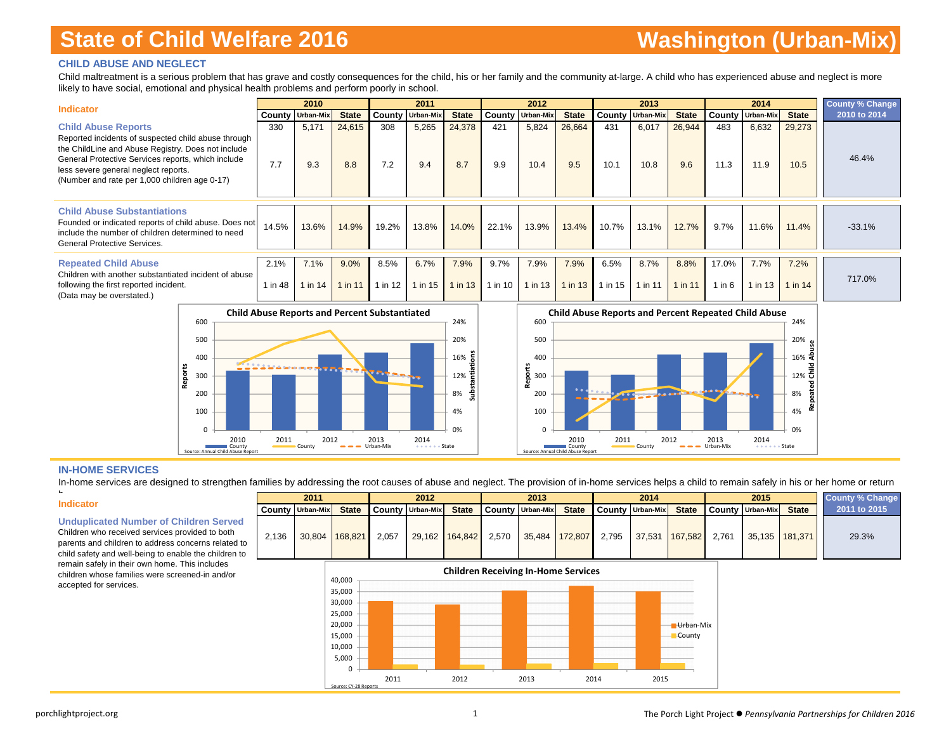#### **CHILD ABUSE AND NEGLECT**

Child maltreatment is a serious problem that has grave and costly consequences for the child, his or her family and the community at-large. A child who has experienced abuse and neglect is more likely to have social, emotional and physical health problems and perform poorly in school.

| <b>Indicator</b>                                                                                                                                                                                                                                                                       |                 | 2010            |                 |               | 2011                    |                 |                 | 2012             |                   |                 | 2013                    |                   |                   | 2014                    |                 | <b>County % Change</b> |
|----------------------------------------------------------------------------------------------------------------------------------------------------------------------------------------------------------------------------------------------------------------------------------------|-----------------|-----------------|-----------------|---------------|-------------------------|-----------------|-----------------|------------------|-------------------|-----------------|-------------------------|-------------------|-------------------|-------------------------|-----------------|------------------------|
|                                                                                                                                                                                                                                                                                        | County          | Urban-Mix       | <b>State</b>    |               | <b>County Urban-Mix</b> | <b>State</b>    | County          | <b>Urban-Mix</b> | <b>State</b>      |                 | <b>County Urban-Mix</b> | <b>State</b>      |                   | <b>County Urban-Mix</b> | <b>State</b>    | 2010 to 2014           |
| <b>Child Abuse Reports</b><br>Reported incidents of suspected child abuse through<br>the ChildLine and Abuse Registry. Does not include<br>General Protective Services reports, which include<br>less severe general neglect reports.<br>(Number and rate per 1,000 children age 0-17) | 330<br>7.7      | 5,171<br>9.3    | 24,615<br>8.8   | 308<br>7.2    | 5,265<br>9.4            | 24,378<br>8.7   | 421<br>9.9      | 5,824<br>10.4    | 26,664<br>9.5     | 431<br>10.1     | 6,017<br>10.8           | 26,944<br>9.6     | 483<br>11.3       | 6,632<br>11.9           | 29,273<br>10.5  | 46.4%                  |
| <b>Child Abuse Substantiations</b><br>Founded or indicated reports of child abuse. Does not<br>include the number of children determined to need<br>General Protective Services.                                                                                                       | 14.5%           | 13.6%           | 14.9%           | 19.2%         | 13.8%                   | 14.0%           | 22.1%           | 13.9%            | 13.4%             | 10.7%           | 13.1%                   | 12.7%             | 9.7%              | 11.6%                   | 11.4%           | $-33.1%$               |
| <b>Repeated Child Abuse</b><br>Children with another substantiated incident of abuse<br>following the first reported incident.<br>(Data may be overstated.)                                                                                                                            | 2.1%<br>1 in 48 | 7.1%<br>1 in 14 | 9.0%<br>1 in 11 | 8.5%<br>in 12 | 6.7%<br>1 in 15         | 7.9%<br>1 in 13 | 9.7%<br>1 in 10 | 7.9%<br>1 in 13  | 7.9%<br>$1$ in 13 | 6.5%<br>1 in 15 | 8.7%<br>1 in 11         | 8.8%<br>$1$ in 11 | 17.0%<br>$1$ in 6 | 7.7%<br>1 in 13         | 7.2%<br>1 in 14 | 717.0%                 |

**Child Abuse Reports and Percent Substantiated** 600 24% 20%500 **Substantiations** 400 16% **Reports** 30012%뛷 Substa 200 8% 100 4% 00% $2011$   $2012$   $2013$   $2013$ 2014 Cou<del>n</del><br>••••••• State Source: Annual Child Abuse Report



#### **IN-HOME SERVICES**

In-home services are designed to strengthen families by addressing the root causes of abuse and neglect. The provision of in-home services helps a child to remain safely in his or her home or return

#### **Indicator**

h

**Unduplicated Number of Children Served**

Children who received services provided to both parents and children to address concerns related to 2 child safety and well-being to enable the children to remain safely in their own home. This includes children whose families were screened-in and/or accepted for services.

|                                                                                                                                                                       |       | 2011                    |                |       | 2012                             |              |       | 2013               |              | 2014                       |              | 2015                   |                | <b>County % Change</b> |
|-----------------------------------------------------------------------------------------------------------------------------------------------------------------------|-------|-------------------------|----------------|-------|----------------------------------|--------------|-------|--------------------|--------------|----------------------------|--------------|------------------------|----------------|------------------------|
|                                                                                                                                                                       |       | <b>County Urban-Mix</b> | <b>State</b>   |       | <b>County Urban-Mix   County</b> | <b>State</b> |       | County   Urban-Mix | <b>State</b> | County Urban-Mix           | <b>State</b> | County Urban-Mix State |                | 2011 to 2015           |
| cated Number of Children Served<br>vho received services provided to both<br>nd children to address concerns related to<br>y and well-being to enable the children to | 2.136 |                         | 30.804 168.821 | 2.057 | 29.162 164.842                   |              | 2.570 | 35.484 172.807     |              | 2,795 37,531 167,582 2,761 |              |                        | 35.135 181.371 | 29.3%                  |

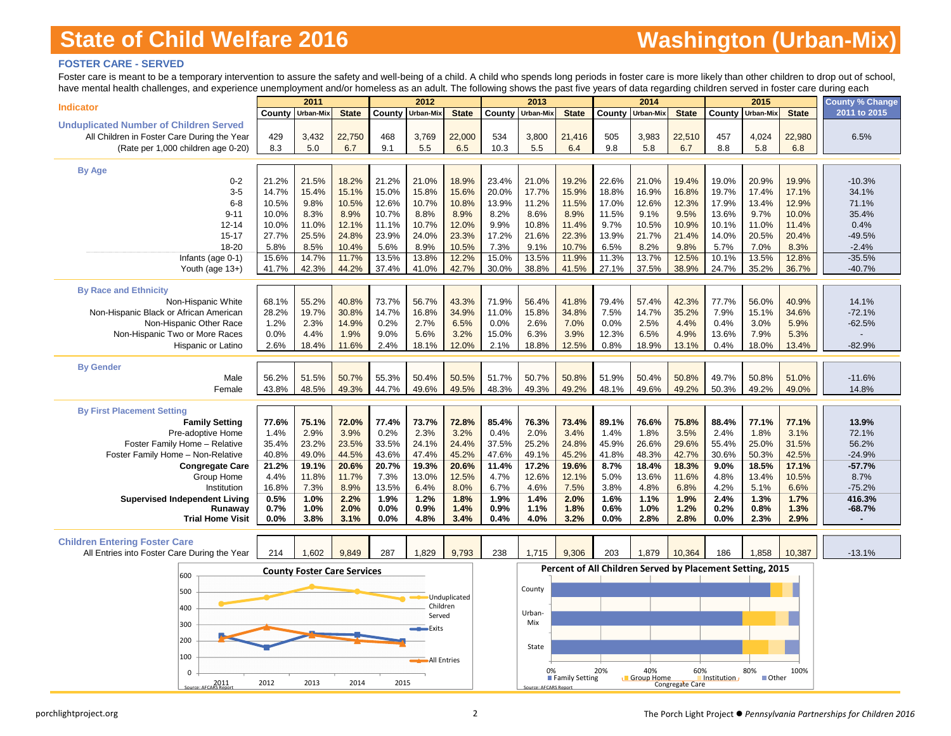### **FOSTER CARE - SERVED**

Foster care is meant to be a temporary intervention to assure the safety and well-being of a child. A child who spends long periods in foster care is more likely than other children to drop out of school, have mental health challenges, and experience unemployment and/or homeless as an adult. The following shows the past five years of data regarding children served in foster care during each

| nave mema nealli chalenges, and experience difemployment and/or nomeless as an addit. The following shows the past live years or data regarding children served in loster care during each |                | 2011                               |                |                | 2012             |                |               | 2013                  |                |                                                           | 2014              |                 |                | 2015           |                | <b>County % Change</b> |
|--------------------------------------------------------------------------------------------------------------------------------------------------------------------------------------------|----------------|------------------------------------|----------------|----------------|------------------|----------------|---------------|-----------------------|----------------|-----------------------------------------------------------|-------------------|-----------------|----------------|----------------|----------------|------------------------|
| <b>Indicator</b>                                                                                                                                                                           | County         | Urban-Mix                          | <b>State</b>   |                | County Urban-Mix | <b>State</b>   | County        | Urban-Mix             | <b>State</b>   | County                                                    | Urban-Mix         | <b>State</b>    | County         | Urban-Mix      | <b>State</b>   | 2011 to 2015           |
| <b>Unduplicated Number of Children Served</b>                                                                                                                                              |                |                                    |                |                |                  |                |               |                       |                |                                                           |                   |                 |                |                |                |                        |
| All Children in Foster Care During the Year                                                                                                                                                | 429            | 3,432                              | 22,750         | 468            | 3,769            | 22,000         | 534           | 3,800                 | 21,416         | 505                                                       | 3,983             | 22,510          | 457            | 4,024          | 22,980         | 6.5%                   |
| (Rate per 1,000 children age 0-20)                                                                                                                                                         | 8.3            | 5.0                                | 6.7            | 9.1            | 5.5              | 6.5            | 10.3          | 5.5                   | 6.4            | 9.8                                                       | 5.8               | 6.7             | 8.8            | 5.8            | 6.8            |                        |
|                                                                                                                                                                                            |                |                                    |                |                |                  |                |               |                       |                |                                                           |                   |                 |                |                |                |                        |
| <b>By Age</b>                                                                                                                                                                              |                |                                    |                |                |                  |                |               |                       |                |                                                           |                   |                 |                |                |                |                        |
| $0 - 2$                                                                                                                                                                                    | 21.2%          | 21.5%                              | 18.2%          | 21.2%          | 21.0%            | 18.9%          | 23.4%         | 21.0%                 | 19.2%          | 22.6%                                                     | 21.0%             | 19.4%           | 19.0%          | 20.9%          | 19.9%          | $-10.3%$               |
| $3-5$                                                                                                                                                                                      | 14.7%          | 15.4%                              | 15.1%          | 15.0%          | 15.8%            | 15.6%          | 20.0%         | 17.7%                 | 15.9%          | 18.8%                                                     | 16.9%             | 16.8%           | 19.7%          | 17.4%          | 17.1%          | 34.1%                  |
| $6 - 8$                                                                                                                                                                                    | 10.5%          | 9.8%                               | 10.5%          | 12.6%          | 10.7%            | 10.8%          | 13.9%         | 11.2%                 | 11.5%          | 17.0%                                                     | 12.6%             | 12.3%           | 17.9%          | 13.4%          | 12.9%          | 71.1%                  |
| $9 - 11$                                                                                                                                                                                   | 10.0%          | 8.3%<br>11.0%                      | 8.9%           | 10.7%          | 8.8%             | 8.9%           | 8.2%          | 8.6%                  | 8.9%           | 11.5%                                                     | 9.1%              | 9.5%            | 13.6%          | 9.7%           | 10.0%          | 35.4%                  |
| $12 - 14$<br>$15 - 17$                                                                                                                                                                     | 10.0%<br>27.7% | 25.5%                              | 12.1%<br>24.8% | 11.1%<br>23.9% | 10.7%<br>24.0%   | 12.0%<br>23.3% | 9.9%<br>17.2% | 10.8%<br>21.6%        | 11.4%<br>22.3% | 9.7%<br>13.9%                                             | 10.5%<br>21.7%    | 10.9%<br>21.4%  | 10.1%<br>14.0% | 11.0%<br>20.5% | 11.4%<br>20.4% | 0.4%<br>$-49.5%$       |
| 18-20                                                                                                                                                                                      | 5.8%           | 8.5%                               | 10.4%          | 5.6%           | 8.9%             | 10.5%          | 7.3%          | 9.1%                  | 10.7%          | 6.5%                                                      | 8.2%              | 9.8%            | 5.7%           | 7.0%           | 8.3%           | $-2.4%$                |
| Infants (age 0-1)                                                                                                                                                                          | 15.6%          | 14.7%                              | 11.7%          | 13.5%          | 13.8%            | 12.2%          | 15.0%         | 13.5%                 | 11.9%          | 11.3%                                                     | 13.7%             | 12.5%           | 10.1%          | 13.5%          | 12.8%          | $-35.5%$               |
| Youth (age 13+)                                                                                                                                                                            | 41.7%          | 42.3%                              | 44.2%          | 37.4%          | 41.0%            | 42.7%          | 30.0%         | 38.8%                 | 41.5%          | 27.1%                                                     | 37.5%             | 38.9%           | 24.7%          | 35.2%          | 36.7%          | $-40.7%$               |
|                                                                                                                                                                                            |                |                                    |                |                |                  |                |               |                       |                |                                                           |                   |                 |                |                |                |                        |
| <b>By Race and Ethnicity</b>                                                                                                                                                               |                |                                    |                |                |                  |                |               |                       |                |                                                           |                   |                 |                |                |                |                        |
| Non-Hispanic White                                                                                                                                                                         | 68.1%          | 55.2%                              | 40.8%          | 73.7%          | 56.7%            | 43.3%          | 71.9%         | 56.4%                 | 41.8%          | 79.4%                                                     | 57.4%             | 42.3%           | 77.7%          | 56.0%          | 40.9%          | 14.1%                  |
| Non-Hispanic Black or African American                                                                                                                                                     | 28.2%          | 19.7%                              | 30.8%          | 14.7%          | 16.8%            | 34.9%          | 11.0%         | 15.8%                 | 34.8%          | 7.5%                                                      | 14.7%             | 35.2%           | 7.9%           | 15.1%          | 34.6%          | $-72.1%$               |
| Non-Hispanic Other Race                                                                                                                                                                    | 1.2%           | 2.3%                               | 14.9%          | 0.2%           | 2.7%             | 6.5%           | 0.0%          | 2.6%                  | 7.0%           | 0.0%                                                      | 2.5%              | 4.4%            | 0.4%           | 3.0%           | 5.9%           | $-62.5%$               |
| Non-Hispanic Two or More Races                                                                                                                                                             | 0.0%           | 4.4%                               | 1.9%           | 9.0%           | 5.6%             | 3.2%           | 15.0%         | 6.3%                  | 3.9%           | 12.3%                                                     | 6.5%              | 4.9%            | 13.6%          | 7.9%           | 5.3%           |                        |
| Hispanic or Latino                                                                                                                                                                         | 2.6%           | 18.4%                              | 11.6%          | 2.4%           | 18.1%            | 12.0%          | 2.1%          | 18.8%                 | 12.5%          | 0.8%                                                      | 18.9%             | 13.1%           | 0.4%           | 18.0%          | 13.4%          | $-82.9%$               |
| <b>By Gender</b>                                                                                                                                                                           |                |                                    |                |                |                  |                |               |                       |                |                                                           |                   |                 |                |                |                |                        |
| Male                                                                                                                                                                                       | 56.2%          | 51.5%                              | 50.7%          | 55.3%          | 50.4%            | 50.5%          | 51.7%         | 50.7%                 | 50.8%          | 51.9%                                                     | 50.4%             | 50.8%           | 49.7%          | 50.8%          | 51.0%          | $-11.6%$               |
| Female                                                                                                                                                                                     | 43.8%          | 48.5%                              | 49.3%          | 44.7%          | 49.6%            | 49.5%          | 48.3%         | 49.3%                 | 49.2%          | 48.1%                                                     | 49.6%             | 49.2%           | 50.3%          | 49.2%          | 49.0%          | 14.8%                  |
|                                                                                                                                                                                            |                |                                    |                |                |                  |                |               |                       |                |                                                           |                   |                 |                |                |                |                        |
| <b>By First Placement Setting</b>                                                                                                                                                          |                |                                    |                |                |                  |                |               |                       |                |                                                           |                   |                 |                |                |                |                        |
| <b>Family Setting</b>                                                                                                                                                                      | 77.6%          | 75.1%                              | 72.0%          | 77.4%          | 73.7%            | 72.8%          | 85.4%         | 76.3%                 | 73.4%          | 89.1%                                                     | 76.6%             | 75.8%           | 88.4%          | 77.1%          | 77.1%          | 13.9%                  |
| Pre-adoptive Home                                                                                                                                                                          | 1.4%           | 2.9%                               | 3.9%           | 0.2%           | 2.3%             | 3.2%           | 0.4%          | 2.0%                  | 3.4%           | 1.4%                                                      | 1.8%              | 3.5%            | 2.4%           | 1.8%           | 3.1%           | 72.1%                  |
| Foster Family Home - Relative                                                                                                                                                              | 35.4%          | 23.2%                              | 23.5%          | 33.5%          | 24.1%            | 24.4%          | 37.5%         | 25.2%                 | 24.8%          | 45.9%                                                     | 26.6%             | 29.6%           | 55.4%          | 25.0%          | 31.5%          | 56.2%                  |
| Foster Family Home - Non-Relative                                                                                                                                                          | 40.8%          | 49.0%                              | 44.5%          | 43.6%          | 47.4%            | 45.2%          | 47.6%         | 49.1%                 | 45.2%          | 41.8%                                                     | 48.3%             | 42.7%           | 30.6%          | 50.3%          | 42.5%          | $-24.9%$               |
| <b>Congregate Care</b>                                                                                                                                                                     | 21.2%<br>4.4%  | 19.1%<br>11.8%                     | 20.6%<br>11.7% | 20.7%<br>7.3%  | 19.3%            | 20.6%<br>12.5% | 11.4%<br>4.7% | 17.2%<br>12.6%        | 19.6%<br>12.1% | 8.7%<br>5.0%                                              | 18.4%<br>13.6%    | 18.3%           | 9.0%<br>4.8%   | 18.5%<br>13.4% | 17.1%          | $-57.7%$<br>8.7%       |
| Group Home<br>Institution                                                                                                                                                                  | 16.8%          | 7.3%                               | 8.9%           | 13.5%          | 13.0%<br>6.4%    | 8.0%           | 6.7%          | 4.6%                  | 7.5%           | 3.8%                                                      | 4.8%              | 11.6%<br>6.8%   | 4.2%           | 5.1%           | 10.5%<br>6.6%  | $-75.2%$               |
| <b>Supervised Independent Living</b>                                                                                                                                                       | 0.5%           | 1.0%                               | 2.2%           | 1.9%           | 1.2%             | 1.8%           | 1.9%          | 1.4%                  | 2.0%           | 1.6%                                                      | 1.1%              | 1.9%            | 2.4%           | 1.3%           | 1.7%           | 416.3%                 |
| Runawav                                                                                                                                                                                    | 0.7%           | 1.0%                               | 2.0%           | 0.0%           | 0.9%             | 1.4%           | 0.9%          | 1.1%                  | 1.8%           | 0.6%                                                      | 1.0%              | 1.2%            | 0.2%           | 0.8%           | 1.3%           | $-68.7%$               |
| <b>Trial Home Visit</b>                                                                                                                                                                    | 0.0%           | 3.8%                               | 3.1%           | 0.0%           | 4.8%             | 3.4%           | 0.4%          | 4.0%                  | 3.2%           | 0.0%                                                      | 2.8%              | 2.8%            | 0.0%           | 2.3%           | 2.9%           |                        |
|                                                                                                                                                                                            |                |                                    |                |                |                  |                |               |                       |                |                                                           |                   |                 |                |                |                |                        |
| <b>Children Entering Foster Care</b>                                                                                                                                                       |                |                                    |                |                |                  |                |               |                       |                |                                                           |                   |                 |                |                |                |                        |
| All Entries into Foster Care During the Year                                                                                                                                               | 214            | 1,602                              | 9,849          | 287            | 1.829            | 9,793          | 238           | 1,715                 | 9,306          | 203                                                       | 1,879             | 10,364          | 186            | 1,858          | 10,387         | $-13.1%$               |
|                                                                                                                                                                                            |                | <b>County Foster Care Services</b> |                |                |                  |                |               |                       |                | Percent of All Children Served by Placement Setting, 2015 |                   |                 |                |                |                |                        |
| 600                                                                                                                                                                                        |                |                                    |                |                |                  |                |               |                       |                |                                                           |                   |                 |                |                |                |                        |
| 500                                                                                                                                                                                        |                |                                    |                |                |                  | Unduplicated   |               | County                |                |                                                           |                   |                 |                |                |                |                        |
| 400                                                                                                                                                                                        |                |                                    |                |                | Children         |                |               |                       |                |                                                           |                   |                 |                |                |                |                        |
|                                                                                                                                                                                            |                |                                    |                |                | Served           |                |               | Urban-                |                |                                                           |                   |                 |                |                |                |                        |
| 300                                                                                                                                                                                        |                |                                    |                |                | <b>Exits</b>     |                |               | Mix                   |                |                                                           |                   |                 |                |                |                |                        |
| 200                                                                                                                                                                                        |                |                                    |                |                |                  |                |               |                       |                |                                                           |                   |                 |                |                |                |                        |
| 100                                                                                                                                                                                        |                |                                    |                |                |                  |                |               | State                 |                |                                                           |                   |                 |                |                |                |                        |
|                                                                                                                                                                                            |                |                                    |                |                | All Entries      |                |               |                       |                |                                                           |                   |                 |                |                |                |                        |
| $\Omega$                                                                                                                                                                                   |                |                                    |                |                |                  |                |               | 0%                    | Family Setting | 20%                                                       | 40%<br>Group Home | 60%             | Institution    | 80%<br>Other   | 100%           |                        |
| Source: AFCARS Renor                                                                                                                                                                       | 2012           | 2013                               | 2014           | 2015           |                  |                |               | Source: AFCARS Report |                |                                                           |                   | Congregate Care |                |                |                |                        |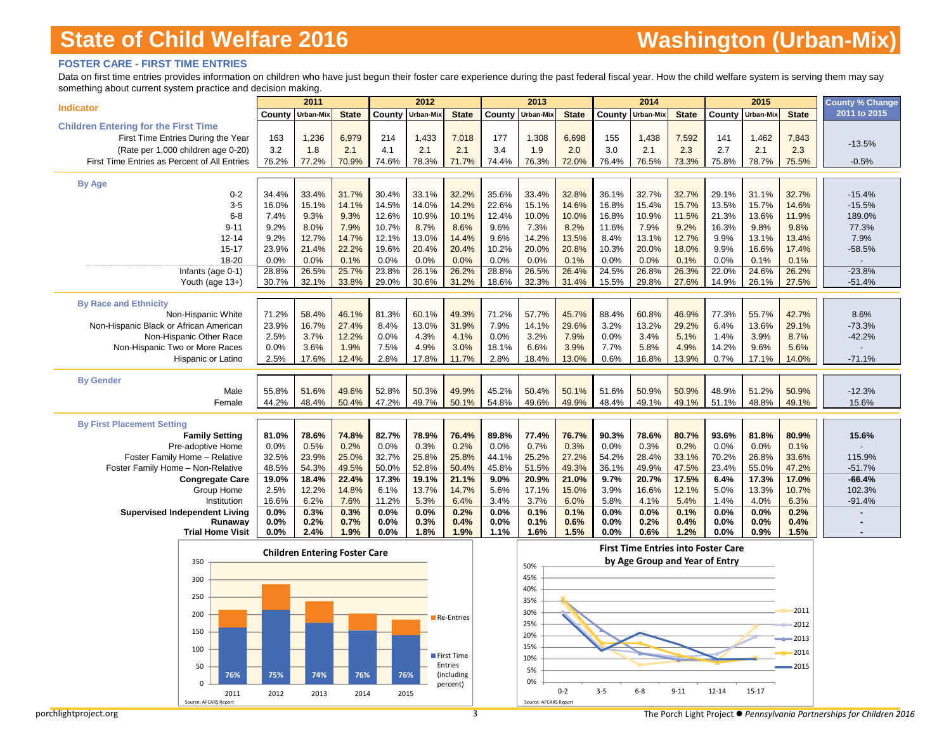#### **FOSTER CARE - FIRST TIME ENTRIES**

Data on first time entries provides information on children who have just begun their foster care experience during the past federal fiscal year. How the child welfare system is serving them may say something about current system practice and decision making.

|                                                            |                | 2011                                 |                |                | 2012           |                       |                | 2013                  |                |                | 2014                           |                |                                            | 2015           |                | County % Change      |
|------------------------------------------------------------|----------------|--------------------------------------|----------------|----------------|----------------|-----------------------|----------------|-----------------------|----------------|----------------|--------------------------------|----------------|--------------------------------------------|----------------|----------------|----------------------|
| <b>Indicator</b>                                           | County         | Urban-Mix                            | <b>State</b>   | County         | Urban-Mix      | <b>State</b>          | County         | Urban-Mix             | <b>State</b>   | County         | Urban-Mix                      | <b>State</b>   | County                                     | Urban-Mix      | <b>State</b>   | 2011 to 2015         |
| <b>Children Entering for the First Time</b>                |                |                                      |                |                |                |                       |                |                       |                |                |                                |                |                                            |                |                |                      |
| First Time Entries During the Year                         | 163            | 1,236                                | 6,979          | 214            | 1,433          | 7,018                 | 177            | 1,308                 | 6,698          | 155            | 1,438                          | 7,592          | 141                                        | 1,462          | 7,843          | $-13.5%$             |
| (Rate per 1,000 children age 0-20)                         | 3.2            | 1.8                                  | 2.1            | 4.1            | 2.1            | 2.1                   | 3.4            | 1.9                   | 2.0            | 3.0            | 2.1                            | 2.3            | 2.7                                        | 2.1            | 2.3            |                      |
| First Time Entries as Percent of All Entries               | 76.2%          | 77.2%                                | 70.9%          | 74.6%          | 78.3%          | 71.7%                 | 74.4%          | 76.3%                 | 72.0%          | 76.4%          | 76.5%                          | 73.3%          | 75.8%                                      | 78.7%          | 75.5%          | $-0.5%$              |
| <b>By Age</b>                                              |                |                                      |                |                |                |                       |                |                       |                |                |                                |                |                                            |                |                |                      |
| $0 - 2$                                                    | 34.4%          | 33.4%                                | 31.7%          | 30.4%          | 33.1%          | 32.2%                 | 35.6%          | 33.4%                 | 32.8%          | 36.1%          | 32.7%                          | 32.7%          | 29.1%                                      | 31.1%          | 32.7%          | $-15.4%$             |
| $3-5$                                                      | 16.0%          | 15.1%                                | 14.1%          | 14.5%          | 14.0%          | 14.2%                 | 22.6%          | 15.1%                 | 14.6%          | 16.8%          | 15.4%                          | 15.7%          | 13.5%                                      | 15.7%          | 14.6%          | $-15.5%$             |
| $6 - 8$                                                    | 7.4%           | 9.3%                                 | 9.3%           | 12.6%          | 10.9%          | 10.1%                 | 12.4%          | 10.0%                 | 10.0%          | 16.8%          | 10.9%                          | 11.5%          | 21.3%                                      | 13.6%          | 11.9%          | 189.0%               |
| $9 - 11$                                                   | 9.2%           | 8.0%                                 | 7.9%           | 10.7%          | 8.7%           | 8.6%                  | 9.6%           | 7.3%                  | 8.2%           | 11.6%          | 7.9%                           | 9.2%           | 16.3%                                      | 9.8%           | 9.8%           | 77.3%                |
| $12 - 14$                                                  | 9.2%           | 12.7%                                | 14.7%          | 12.1%          | 13.0%          | 14.4%                 | 9.6%           | 14.2%                 | 13.5%          | 8.4%           | 13.1%                          | 12.7%          | 9.9%                                       | 13.1%          | 13.4%          | 7.9%                 |
| $15 - 17$                                                  | 23.9%          | 21.4%                                | 22.2%          | 19.6%          | 20.4%          | 20.4%                 | 10.2%          | 20.0%                 | 20.8%          | 10.3%          | 20.0%                          | 18.0%          | 9.9%                                       | 16.6%          | 17.4%          | $-58.5%$             |
| 18-20                                                      | 0.0%           | 0.0%                                 | 0.1%           | 0.0%           | 0.0%           | 0.0%                  | 0.0%           | 0.0%                  | 0.1%           | 0.0%           | 0.0%                           | 0.1%           | 0.0%                                       | 0.1%           | 0.1%           |                      |
| Infants (age 0-1)<br>Youth (age 13+)                       | 28.8%<br>30.7% | 26.5%<br>32.1%                       | 25.7%<br>33.8% | 23.8%<br>29.0% | 26.1%<br>30.6% | 26.2%<br>31.2%        | 28.8%<br>18.6% | 26.5%<br>32.3%        | 26.4%<br>31.4% | 24.5%<br>15.5% | 26.8%<br>29.8%                 | 26.3%<br>27.6% | 22.0%<br>14.9%                             | 24.6%<br>26.1% | 26.2%<br>27.5% | $-23.8%$<br>$-51.4%$ |
|                                                            |                |                                      |                |                |                |                       |                |                       |                |                |                                |                |                                            |                |                |                      |
| <b>By Race and Ethnicity</b>                               |                |                                      |                |                |                |                       |                |                       |                |                |                                |                |                                            |                |                |                      |
| Non-Hispanic White                                         | 71.2%          | 58.4%                                | 46.1%          | 81.3%          | 60.1%          | 49.3%                 | 71.2%          | 57.7%                 | 45.7%          | 88.4%          | 60.8%                          | 46.9%          | 77.3%                                      | 55.7%          | 42.7%          | 8.6%                 |
| Non-Hispanic Black or African American                     | 23.9%          | 16.7%                                | 27.4%          | 8.4%           | 13.0%          | 31.9%                 | 7.9%           | 14.1%                 | 29.6%          | 3.2%           | 13.2%                          | 29.2%          | 6.4%                                       | 13.6%          | 29.1%          | $-73.3%$             |
| Non-Hispanic Other Race                                    | 2.5%           | 3.7%                                 | 12.2%          | 0.0%           | 4.3%           | 4.1%                  | 0.0%           | 3.2%                  | 7.9%           | 0.0%           | 3.4%                           | 5.1%           | 1.4%                                       | 3.9%           | 8.7%           | $-42.2%$             |
| Non-Hispanic Two or More Races                             | 0.0%           | 3.6%                                 | 1.9%           | 7.5%           | 4.9%           | 3.0%                  | 18.1%          | 6.6%                  | 3.9%           | 7.7%           | 5.8%                           | 4.9%           | 14.2%                                      | 9.6%           | 5.6%           |                      |
| Hispanic or Latino                                         | 2.5%           | 17.6%                                | 12.4%          | 2.8%           | 17.8%          | 11.7%                 | 2.8%           | 18.4%                 | 13.0%          | 0.6%           | 16.8%                          | 13.9%          | 0.7%                                       | 17.1%          | 14.0%          | $-71.1%$             |
| <b>By Gender</b>                                           |                |                                      |                |                |                |                       |                |                       |                |                |                                |                |                                            |                |                |                      |
| Male                                                       | 55.8%          | 51.6%                                | 49.6%          | 52.8%          | 50.3%          | 49.9%                 | 45.2%          | 50.4%                 | 50.1%          | 51.6%          | 50.9%                          | 50.9%          | 48.9%                                      | 51.2%          | 50.9%          | $-12.3%$             |
| Female                                                     | 44.2%          | 48.4%                                | 50.4%          | 47.2%          | 49.7%          | 50.1%                 | 54.8%          | 49.6%                 | 49.9%          | 48.4%          | 49.1%                          | 49.1%          | 51.1%                                      | 48.8%          | 49.1%          | 15.6%                |
|                                                            |                |                                      |                |                |                |                       |                |                       |                |                |                                |                |                                            |                |                |                      |
| <b>By First Placement Setting</b><br><b>Family Setting</b> | 81.0%          | 78.6%                                | 74.8%          | 82.7%          | 78.9%          | 76.4%                 | 89.8%          | 77.4%                 | 76.7%          | 90.3%          | 78.6%                          | 80.7%          | 93.6%                                      | 81.8%          | 80.9%          | 15.6%                |
| Pre-adoptive Home                                          | 0.0%           | 0.5%                                 | 0.2%           | 0.0%           | 0.3%           | 0.2%                  | 0.0%           | 0.7%                  | 0.3%           | 0.0%           | 0.3%                           | 0.2%           | 0.0%                                       | 0.0%           | 0.1%           |                      |
| Foster Family Home - Relative                              | 32.5%          | 23.9%                                | 25.0%          | 32.7%          | 25.8%          | 25.8%                 | 44.1%          | 25.2%                 | 27.2%          | 54.2%          | 28.4%                          | 33.1%          | 70.2%                                      | 26.8%          | 33.6%          | 115.9%               |
| Foster Family Home - Non-Relative                          | 48.5%          | 54.3%                                | 49.5%          | 50.0%          | 52.8%          | 50.4%                 | 45.8%          | 51.5%                 | 49.3%          | 36.1%          | 49.9%                          | 47.5%          | 23.4%                                      | 55.0%          | 47.2%          | $-51.7%$             |
| <b>Congregate Care</b>                                     | 19.0%          | 18.4%                                | 22.4%          | 17.3%          | 19.1%          | 21.1%                 | 9.0%           | 20.9%                 | 21.0%          | 9.7%           | 20.7%                          | 17.5%          | 6.4%                                       | 17.3%          | 17.0%          | $-66.4%$             |
| Group Home                                                 | 2.5%           | 12.2%                                | 14.8%          | 6.1%           | 13.7%          | 14.7%                 | 5.6%           | 17.1%                 | 15.0%          | 3.9%           | 16.6%                          | 12.1%          | 5.0%                                       | 13.3%          | 10.7%          | 102.3%               |
| Institution                                                | 16.6%          | 6.2%                                 | 7.6%           | 11.2%          | 5.3%           | 6.4%                  | 3.4%           | 3.7%                  | 6.0%           | 5.8%           | 4.1%                           | 5.4%           | 1.4%                                       | 4.0%           | 6.3%           | $-91.4%$             |
| <b>Supervised Independent Living</b><br>Runaway            | 0.0%<br>0.0%   | 0.3%<br>0.2%                         | 0.3%<br>0.7%   | 0.0%<br>0.0%   | 0.0%<br>0.3%   | 0.2%<br>0.4%          | 0.0%<br>0.0%   | 0.1%<br>0.1%          | 0.1%<br>0.6%   | 0.0%<br>0.0%   | 0.0%<br>0.2%                   | 0.1%<br>0.4%   | 0.0%<br>0.0%                               | 0.0%<br>0.0%   | 0.2%<br>0.4%   |                      |
| <b>Trial Home Visit</b>                                    | 0.0%           | 2.4%                                 | 1.9%           | 0.0%           | 1.8%           | 1.9%                  | 1.1%           | 1.6%                  | 1.5%           | 0.0%           | 0.6%                           | 1.2%           | 0.0%                                       | 0.9%           | 1.5%           |                      |
|                                                            |                |                                      |                |                |                |                       |                |                       |                |                |                                |                | <b>First Time Entries into Foster Care</b> |                |                |                      |
| 350                                                        |                | <b>Children Entering Foster Care</b> |                |                |                |                       |                |                       |                |                | by Age Group and Year of Entry |                |                                            |                |                |                      |
|                                                            |                |                                      |                |                |                |                       |                | 50%                   |                |                |                                |                |                                            |                |                |                      |
| 300                                                        |                |                                      |                |                |                |                       |                | 45%<br>40%            |                |                |                                |                |                                            |                |                |                      |
| 250                                                        |                |                                      |                |                |                |                       |                | 35%                   |                |                |                                |                |                                            |                |                |                      |
|                                                            |                |                                      |                |                |                |                       |                | 30%                   |                |                |                                |                |                                            |                | 2011           |                      |
| 200                                                        |                |                                      |                |                |                | Re-Entries            |                | 25%                   |                |                |                                |                |                                            |                | 2012           |                      |
| 150                                                        |                |                                      |                |                |                |                       |                | 20%                   |                |                |                                |                |                                            |                | 2013           |                      |
| 100                                                        |                |                                      |                |                |                |                       |                | 15%                   |                |                |                                |                |                                            |                |                |                      |
|                                                            |                |                                      |                |                |                | First Time            |                | 10%                   |                |                |                                |                |                                            |                | 2014           |                      |
| 50<br>76%                                                  | 75%            | 74%                                  | 76%            | 76%            |                | Entries<br>(including |                | 5%                    |                |                |                                |                |                                            |                | $-2015$        |                      |
| n                                                          |                |                                      |                |                |                | percent)              |                | 0%                    |                |                |                                |                |                                            |                |                |                      |
| 2011<br>Source: AFCARS<br>Report                           | 2012           | 2013                                 | 2014           | 2015           |                |                       |                | Source: AFCARS Report | $0 - 2$        | $3 - 5$        | $6 - 8$                        | $9 - 11$       | 12-14                                      | $15 - 17$      |                |                      |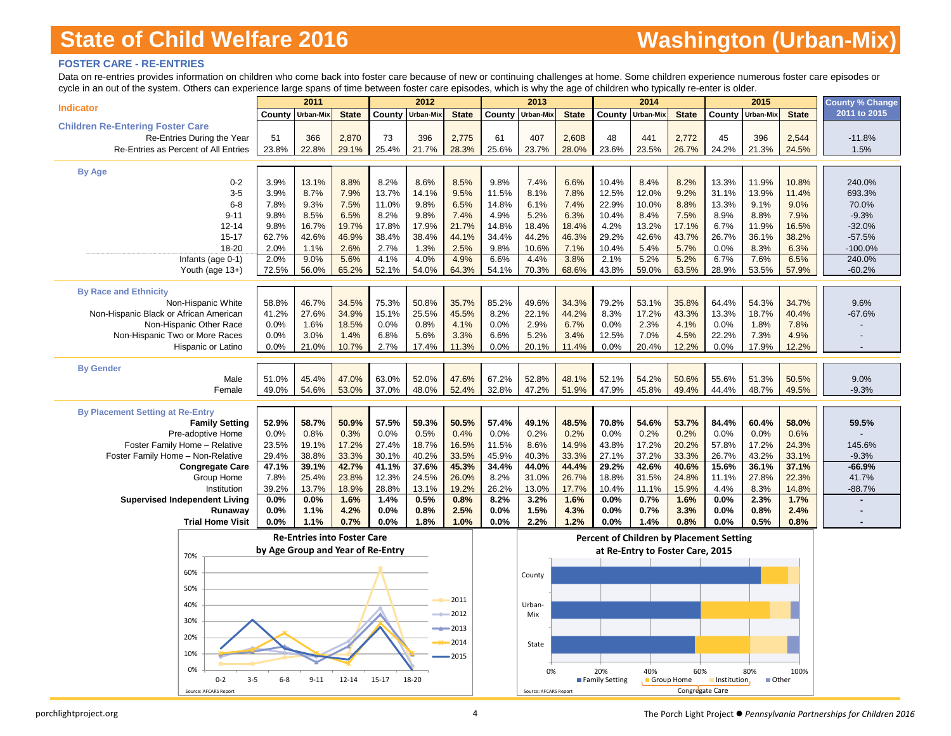### **FOSTER CARE - RE-ENTRIES**

Data on re-entries provides information on children who come back into foster care because of new or continuing challenges at home. Some children experience numerous foster care episodes or cycle in an out of the system. Others can experience large spans of time between foster care episodes, which is why the age of children who typically re-enter is older.

|                                         |                                   | 2011                               |              |           | 2012      |                    |        | 2013                  |              |                | 2014                                     |                 |             | 2015      |              | <b>County % Change</b> |
|-----------------------------------------|-----------------------------------|------------------------------------|--------------|-----------|-----------|--------------------|--------|-----------------------|--------------|----------------|------------------------------------------|-----------------|-------------|-----------|--------------|------------------------|
| <b>Indicator</b>                        | County                            | Urban-Mix                          | <b>State</b> | County    | Urban-Mix | <b>State</b>       | County | Urban-Mix             | <b>State</b> | County         | Urban-Mix                                | <b>State</b>    | County      | Urban-Mix | <b>State</b> | 2011 to 2015           |
| <b>Children Re-Entering Foster Care</b> |                                   |                                    |              |           |           |                    |        |                       |              |                |                                          |                 |             |           |              |                        |
| Re-Entries During the Year              | 51                                | 366                                | 2,870        | 73        | 396       | 2,775              | 61     | 407                   | 2,608        | 48             | 441                                      | 2,772           | 45          | 396       | 2,544        | $-11.8%$               |
| Re-Entries as Percent of All Entries    | 23.8%                             | 22.8%                              | 29.1%        | 25.4%     | 21.7%     | 28.3%              | 25.6%  | 23.7%                 | 28.0%        | 23.6%          | 23.5%                                    | 26.7%           | 24.2%       | 21.3%     | 24.5%        | 1.5%                   |
|                                         |                                   |                                    |              |           |           |                    |        |                       |              |                |                                          |                 |             |           |              |                        |
| <b>By Age</b>                           |                                   |                                    |              |           |           |                    |        |                       |              |                |                                          |                 |             |           |              |                        |
| $0 - 2$                                 | 3.9%                              | 13.1%                              | 8.8%         | 8.2%      | 8.6%      | 8.5%               | 9.8%   | 7.4%                  | 6.6%         | 10.4%          | 8.4%                                     | 8.2%            | 13.3%       | 11.9%     | 10.8%        | 240.0%                 |
| $3-5$                                   | 3.9%                              | 8.7%                               | 7.9%         | 13.7%     | 14.1%     | 9.5%               | 11.5%  | 8.1%                  | 7.8%         | 12.5%          | 12.0%                                    | 9.2%            | 31.1%       | 13.9%     | 11.4%        | 693.3%                 |
| $6 - 8$                                 | 7.8%                              | 9.3%                               | 7.5%         | 11.0%     | 9.8%      | 6.5%               | 14.8%  | 6.1%                  | 7.4%         | 22.9%          | 10.0%                                    | 8.8%            | 13.3%       | 9.1%      | 9.0%         | 70.0%                  |
| $9 - 11$                                | 9.8%                              | 8.5%                               | 6.5%         | 8.2%      | 9.8%      | 7.4%               | 4.9%   | 5.2%                  | 6.3%         | 10.4%          | 8.4%                                     | 7.5%            | 8.9%        | 8.8%      | 7.9%         | $-9.3%$                |
| $12 - 14$                               | 9.8%                              | 16.7%                              | 19.7%        | 17.8%     | 17.9%     | 21.7%              | 14.8%  | 18.4%                 | 18.4%        | 4.2%           | 13.2%                                    | 17.1%           | 6.7%        | 11.9%     | 16.5%        | $-32.0%$               |
| $15 - 17$                               | 62.7%                             | 42.6%                              | 46.9%        | 38.4%     | 38.4%     | 44.1%              | 34.4%  | 44.2%                 | 46.3%        | 29.2%          | 42.6%                                    | 43.7%           | 26.7%       | 36.1%     | 38.2%        | $-57.5%$               |
| 18-20                                   | 2.0%                              | 1.1%                               | 2.6%         | 2.7%      | 1.3%      | 2.5%               | 9.8%   | 10.6%                 | 7.1%         | 10.4%          | 5.4%                                     | 5.7%            | 0.0%        | 8.3%      | 6.3%         | $-100.0%$              |
| Infants (age 0-1)                       | 2.0%                              | 9.0%                               | 5.6%         | 4.1%      | 4.0%      | 4.9%               | 6.6%   | 4.4%                  | 3.8%         | 2.1%           | 5.2%                                     | 5.2%            | 6.7%        | 7.6%      | 6.5%         | 240.0%                 |
| Youth (age 13+)                         | 72.5%                             | 56.0%                              | 65.2%        | 52.1%     | 54.0%     | 64.3%              | 54.1%  | 70.3%                 | 68.6%        | 43.8%          | 59.0%                                    | 63.5%           | 28.9%       | 53.5%     | 57.9%        | $-60.2%$               |
|                                         |                                   |                                    |              |           |           |                    |        |                       |              |                |                                          |                 |             |           |              |                        |
| <b>By Race and Ethnicity</b>            |                                   |                                    |              |           |           |                    |        |                       |              |                |                                          |                 |             |           |              |                        |
| Non-Hispanic White                      | 58.8%                             | 46.7%                              | 34.5%        | 75.3%     | 50.8%     | 35.7%              | 85.2%  | 49.6%                 | 34.3%        | 79.2%          | 53.1%                                    | 35.8%           | 64.4%       | 54.3%     | 34.7%        | 9.6%                   |
| Non-Hispanic Black or African American  | 41.2%                             | 27.6%                              | 34.9%        | 15.1%     | 25.5%     | 45.5%              | 8.2%   | 22.1%                 | 44.2%        | 8.3%           | 17.2%                                    | 43.3%           | 13.3%       | 18.7%     | 40.4%        | $-67.6%$               |
| Non-Hispanic Other Race                 | 0.0%                              | 1.6%                               | 18.5%        | 0.0%      | 0.8%      | 4.1%               | 0.0%   | 2.9%                  | 6.7%         | 0.0%           | 2.3%                                     | 4.1%            | 0.0%        | 1.8%      | 7.8%         |                        |
| Non-Hispanic Two or More Races          | 0.0%                              | 3.0%                               | 1.4%         | 6.8%      | 5.6%      | 3.3%               | 6.6%   | 5.2%                  | 3.4%         | 12.5%          | 7.0%                                     | 4.5%            | 22.2%       | 7.3%      | 4.9%         |                        |
| Hispanic or Latino                      | 0.0%                              | 21.0%                              | 10.7%        | 2.7%      | 17.4%     | 11.3%              | 0.0%   | 20.1%                 | 11.4%        | 0.0%           | 20.4%                                    | 12.2%           | 0.0%        | 17.9%     | 12.2%        |                        |
|                                         |                                   |                                    |              |           |           |                    |        |                       |              |                |                                          |                 |             |           |              |                        |
| <b>By Gender</b>                        |                                   |                                    |              |           |           |                    |        |                       |              |                |                                          |                 |             |           |              |                        |
| Male                                    | 51.0%                             | 45.4%                              | 47.0%        | 63.0%     | 52.0%     | 47.6%              | 67.2%  | 52.8%                 | 48.1%        | 52.1%          | 54.2%                                    | 50.6%           | 55.6%       | 51.3%     | 50.5%        | 9.0%                   |
| Female                                  | 49.0%                             | 54.6%                              | 53.0%        | 37.0%     | 48.0%     | 52.4%              | 32.8%  | 47.2%                 | 51.9%        | 47.9%          | 45.8%                                    | 49.4%           | 44.4%       | 48.7%     | 49.5%        | $-9.3%$                |
|                                         |                                   |                                    |              |           |           |                    |        |                       |              |                |                                          |                 |             |           |              |                        |
| <b>By Placement Setting at Re-Entry</b> |                                   |                                    |              |           |           |                    |        |                       |              |                |                                          |                 |             |           |              |                        |
| <b>Family Setting</b>                   | 52.9%                             | 58.7%                              | 50.9%        | 57.5%     | 59.3%     | 50.5%              | 57.4%  | 49.1%                 | 48.5%        | 70.8%          | 54.6%                                    | 53.7%           | 84.4%       | 60.4%     | 58.0%        | 59.5%                  |
| Pre-adoptive Home                       | 0.0%                              | 0.8%                               | 0.3%         | 0.0%      | 0.5%      | 0.4%               | 0.0%   | 0.2%                  | 0.2%         | 0.0%           | 0.2%                                     | 0.2%            | 0.0%        | 0.0%      | 0.6%         |                        |
| Foster Family Home - Relative           | 23.5%                             | 19.1%                              | 17.2%        | 27.4%     | 18.7%     | 16.5%              | 11.5%  | 8.6%                  | 14.9%        | 43.8%          | 17.2%                                    | 20.2%           | 57.8%       | 17.2%     | 24.3%        | 145.6%                 |
| Foster Family Home - Non-Relative       | 29.4%                             | 38.8%                              | 33.3%        | 30.1%     | 40.2%     | 33.5%              | 45.9%  | 40.3%                 | 33.3%        | 27.1%          | 37.2%                                    | 33.3%           | 26.7%       | 43.2%     | 33.1%        | $-9.3%$                |
| <b>Congregate Care</b>                  | 47.1%                             | 39.1%                              | 42.7%        | 41.1%     | 37.6%     | 45.3%              | 34.4%  | 44.0%                 | 44.4%        | 29.2%          | 42.6%                                    | 40.6%           | 15.6%       | 36.1%     | 37.1%        | $-66.9%$               |
| Group Home                              | 7.8%                              | 25.4%                              | 23.8%        | 12.3%     | 24.5%     | 26.0%              | 8.2%   | 31.0%                 | 26.7%        | 18.8%          | 31.5%                                    | 24.8%           | 11.1%       | 27.8%     | 22.3%        | 41.7%                  |
| Institution                             | 39.2%                             | 13.7%                              | 18.9%        | 28.8%     | 13.1%     | 19.2%              | 26.2%  | 13.0%                 | 17.7%        | 10.4%          | 11.1%                                    | 15.9%           | 4.4%        | 8.3%      | 14.8%        | $-88.7%$               |
| <b>Supervised Independent Living</b>    | 0.0%                              | 0.0%                               | 1.6%         | 1.4%      | 0.5%      | 0.8%               | 8.2%   | 3.2%                  | 1.6%         | 0.0%           | 0.7%                                     | 1.6%            | 0.0%        | 2.3%      | 1.7%         |                        |
| Runaway                                 | 0.0%                              | 1.1%                               | 4.2%         | 0.0%      | 0.8%      | 2.5%               | 0.0%   | 1.5%                  | 4.3%         | 0.0%           | 0.7%                                     | 3.3%            | 0.0%        | 0.8%      | 2.4%         |                        |
| <b>Trial Home Visit</b>                 | 0.0%                              | 1.1%                               | 0.7%         | 0.0%      | 1.8%      | 1.0%               | 0.0%   | 2.2%                  | 1.2%         | 0.0%           | 1.4%                                     | 0.8%            | 0.0%        | 0.5%      | 0.8%         |                        |
|                                         |                                   | <b>Re-Entries into Foster Care</b> |              |           |           |                    |        |                       |              |                | Percent of Children by Placement Setting |                 |             |           |              |                        |
|                                         | by Age Group and Year of Re-Entry |                                    |              |           |           |                    |        |                       |              |                | at Re-Entry to Foster Care, 2015         |                 |             |           |              |                        |
| 70%                                     |                                   |                                    |              |           |           |                    |        |                       |              |                |                                          |                 |             |           |              |                        |
| 60%                                     |                                   |                                    |              |           |           |                    |        | County                |              |                |                                          |                 |             |           |              |                        |
|                                         |                                   |                                    |              |           |           |                    |        |                       |              |                |                                          |                 |             |           |              |                        |
| 50%                                     |                                   |                                    |              |           |           |                    |        |                       |              |                |                                          |                 |             |           |              |                        |
| 40%                                     |                                   |                                    |              |           |           | 2011               |        | Urban-                |              |                |                                          |                 |             |           |              |                        |
|                                         |                                   |                                    |              |           |           | 2012               |        | Mix                   |              |                |                                          |                 |             |           |              |                        |
| 30%                                     |                                   |                                    |              |           |           | $\rightarrow$ 2013 |        |                       |              |                |                                          |                 |             |           |              |                        |
| 20%                                     |                                   |                                    |              |           |           |                    |        |                       |              |                |                                          |                 |             |           |              |                        |
|                                         |                                   |                                    |              |           |           | 2014               |        | State                 |              |                |                                          |                 |             |           |              |                        |
| 10%                                     |                                   |                                    |              |           |           | 2015               |        |                       |              |                |                                          |                 |             |           |              |                        |
| 0%                                      |                                   |                                    |              |           |           |                    |        | 0%                    |              | 20%            | 40%                                      | 60%             |             | 80%       | 100%         |                        |
| $0 - 2$                                 | $6 - 8$<br>$3 - 5$                | $9 - 11$                           | $12 - 14$    | $15 - 17$ | 18-20     |                    |        |                       |              | Family Setting | Group Home                               |                 | Institution | ■ Other   |              |                        |
| Source: AFCARS Report                   |                                   |                                    |              |           |           |                    |        | Source: AFCARS Report |              |                |                                          | Congregate Care |             |           |              |                        |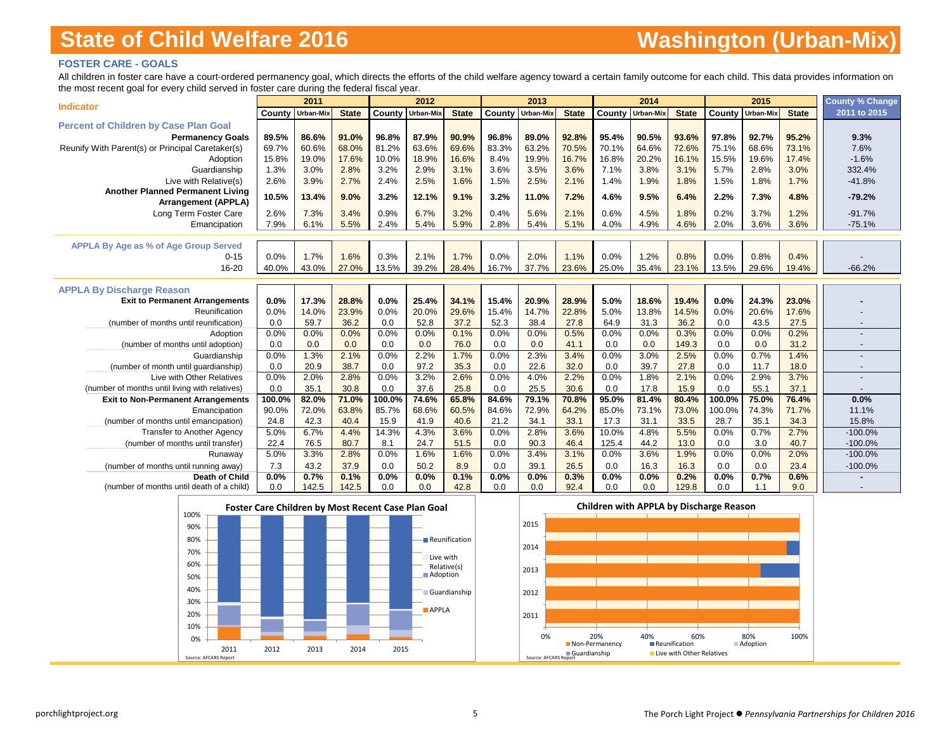### **FOSTER CARE - GOALS**

All children in foster care have a court-ordered permanency goal, which directs the efforts of the child welfare agency toward a certain family outcome for each child. This data provides information on the most recent goal for every child served in foster care during the federal fiscal year.

|                                                   |                         | 2011  |              |        | 2012             |              |       | 2013             |              |       | 2014                    |              |        | 2015             |              | <b>County % Change</b>   |
|---------------------------------------------------|-------------------------|-------|--------------|--------|------------------|--------------|-------|------------------|--------------|-------|-------------------------|--------------|--------|------------------|--------------|--------------------------|
| <b>Indicator</b>                                  | <b>County Urban-Mix</b> |       | <b>State</b> | County | <b>Urban-Mix</b> | <b>State</b> |       | County Urban-Mix | <b>State</b> |       | <b>County Urban-Mix</b> | <b>State</b> |        | County Urban-Mix | <b>State</b> | 2011 to 2015             |
| <b>Percent of Children by Case Plan Goal</b>      |                         |       |              |        |                  |              |       |                  |              |       |                         |              |        |                  |              |                          |
| <b>Permanency Goals</b>                           | 89.5%                   | 86.6% | 91.0%        | 96.8%  | 87.9%            | 90.9%        | 96.8% | 89.0%            | 92.8%        | 95.4% | 90.5%                   | 93.6%        | 97.8%  | 92.7%            | 95.2%        | 9.3%                     |
| Reunify With Parent(s) or Principal Caretaker(s)  | 69.7%                   | 60.6% | 68.0%        | 81.2%  | 63.6%            | 69.6%        | 83.3% | 63.2%            | 70.5%        | 70.1% | 64.6%                   | 72.6%        | 75.1%  | 68.6%            | 73.1%        | 7.6%                     |
| Adoption                                          | 15.8%                   | 19.0% | 17.6%        | 10.0%  | 18.9%            | 16.6%        | 8.4%  | 19.9%            | 16.7%        | 16.8% | 20.2%                   | 16.1%        | 15.5%  | 19.6%            | 17.4%        | $-1.6%$                  |
| Guardianship                                      | 1.3%                    | 3.0%  | 2.8%         | 3.2%   | 2.9%             | 3.1%         | 3.6%  | 3.5%             | 3.6%         | 7.1%  | 3.8%                    | 3.1%         | 5.7%   | 2.8%             | 3.0%         | 332.4%                   |
| Live with Relative(s)                             | 2.6%                    | 3.9%  | 2.7%         | 2.4%   | 2.5%             | 1.6%         | 1.5%  | 2.5%             | 2.1%         | 1.4%  | 1.9%                    | 1.8%         | 1.5%   | 1.8%             | 1.7%         | $-41.8%$                 |
| <b>Another Planned Permanent Living</b>           | 10.5%                   | 13.4% | 9.0%         | 3.2%   | 12.1%            | 9.1%         | 3.2%  | 11.0%            | 7.2%         | 4.6%  | 9.5%                    | 6.4%         | 2.2%   | 7.3%             | 4.8%         | $-79.2%$                 |
| <b>Arrangement (APPLA)</b>                        |                         |       |              |        |                  |              |       |                  |              |       |                         |              |        |                  |              |                          |
| Long Term Foster Care                             | 2.6%                    | 7.3%  | 3.4%         | 0.9%   | 6.7%             | 3.2%         | 0.4%  | 5.6%             | 2.1%         | 0.6%  | 4.5%                    | 1.8%         | 0.2%   | 3.7%             | 1.2%         | $-91.7%$                 |
| Emancipation                                      | 7.9%                    | 6.1%  | 5.5%         | 2.4%   | 5.4%             | 5.9%         | 2.8%  | 5.4%             | 5.1%         | 4.0%  | 4.9%                    | 4.6%         | 2.0%   | 3.6%             | 3.6%         | $-75.1%$                 |
|                                                   |                         |       |              |        |                  |              |       |                  |              |       |                         |              |        |                  |              |                          |
| APPLA By Age as % of Age Group Served<br>$0 - 15$ | 0.0%                    | 1.7%  | 1.6%         | 0.3%   | 2.1%             | 1.7%         | 0.0%  | 2.0%             | 1.1%         | 0.0%  | 1.2%                    | 0.8%         | 0.0%   | 0.8%             | 0.4%         |                          |
| 16-20                                             | 40.0%                   | 43.0% | 27.0%        | 13.5%  | 39.2%            | 28.4%        | 16.7% | 37.7%            | 23.6%        | 25.0% | 35.4%                   | 23.1%        | 13.5%  | 29.6%            | 19.4%        | $-66.2%$                 |
|                                                   |                         |       |              |        |                  |              |       |                  |              |       |                         |              |        |                  |              |                          |
| <b>APPLA By Discharge Reason</b>                  |                         |       |              |        |                  |              |       |                  |              |       |                         |              |        |                  |              |                          |
| <b>Exit to Permanent Arrangements</b>             | 0.0%                    | 17.3% | 28.8%        | 0.0%   | 25.4%            | 34.1%        | 15.4% | 20.9%            | 28.9%        | 5.0%  | 18.6%                   | 19.4%        | 0.0%   | 24.3%            | 23.0%        |                          |
| Reunification                                     | 0.0%                    | 14.0% | 23.9%        | 0.0%   | 20.0%            | 29.6%        | 15.4% | 14.7%            | 22.8%        | 5.0%  | 13.8%                   | 14.5%        | 0.0%   | 20.6%            | 17.6%        |                          |
| (number of months until reunification)            | 0.0                     | 59.7  | 36.2         | 0.0    | 52.8             | 37.2         | 52.3  | 38.4             | 27.8         | 64.9  | 31.3                    | 36.2         | 0.0    | 43.5             | 27.5         |                          |
| Adoption                                          | 0.0%                    | 0.0%  | 0.0%         | 0.0%   | 0.0%             | 0.1%         | 0.0%  | 0.0%             | 0.5%         | 0.0%  | 0.0%                    | 0.3%         | 0.0%   | 0.0%             | 0.2%         |                          |
| (number of months until adoption)                 | 0.0                     | 0.0   | 0.0          | 0.0    | 0.0              | 76.0         | 0.0   | 0.0              | 41.1         | 0.0   | 0.0                     | 149.3        | 0.0    | 0.0              | 31.2         |                          |
| Guardianship                                      | 0.0%                    | 1.3%  | 2.1%         | 0.0%   | 2.2%             | 1.7%         | 0.0%  | 2.3%             | 3.4%         | 0.0%  | 3.0%                    | 2.5%         | 0.0%   | 0.7%             | 1.4%         |                          |
| (number of month until guardianship)              | 0.0                     | 20.9  | 38.7         | 0.0    | 97.2             | 35.3         | 0.0   | 22.6             | 32.0         | 0.0   | 39.7                    | 27.8         | 0.0    | 11.7             | 18.0         | $\overline{\phantom{a}}$ |
| Live with Other Relatives                         | 0.0%                    | 2.0%  | 2.8%         | 0.0%   | 3.2%             | 2.6%         | 0.0%  | 4.0%             | 2.2%         | 0.0%  | 1.8%                    | 2.1%         | 0.0%   | 2.9%             | 3.7%         |                          |
| (number of months until living with relatives)    | 0.0                     | 35.1  | 30.8         | 0.0    | 37.6             | 25.8         | 0.0   | 25.5             | 30.6         | 0.0   | 17.8                    | 15.9         | 0.0    | 55.1             | 37.1         |                          |
| <b>Exit to Non-Permanent Arrangements</b>         | 100.0%                  | 82.0% | 71.0%        | 100.0% | 74.6%            | 65.8%        | 84.6% | 79.1%            | 70.8%        | 95.0% | 81.4%                   | 80.4%        | 100.0% | 75.0%            | 76.4%        | 0.0%                     |
| Emancipation                                      | 90.0%                   | 72.0% | 63.8%        | 85.7%  | 68.6%            | 60.5%        | 84.6% | 72.9%            | 64.2%        | 85.0% | 73.1%                   | 73.0%        | 100.0% | 74.3%            | 71.7%        | 11.1%                    |
| (number of months until emancipation)             | 24.8                    | 42.3  | 40.4         | 15.9   | 41.9             | 40.6         | 21.2  | 34.1             | 33.1         | 17.3  | 31.1                    | 33.5         | 28.7   | 35.1             | 34.3         | 15.8%                    |
| <b>Transfer to Another Agency</b>                 | 5.0%                    | 6.7%  | 4.4%         | 14.3%  | 4.3%             | 3.6%         | 0.0%  | 2.8%             | 3.6%         | 10.0% | 4.8%                    | 5.5%         | 0.0%   | 0.7%             | 2.7%         | $-100.0%$                |
| (number of months until transfer)                 | 22.4                    | 76.5  | 80.7         | 8.1    | 24.7             | 51.5         | 0.0   | 90.3             | 46.4         | 125.4 | 44.2                    | 13.0         | 0.0    | 3.0              | 40.7         | $-100.0%$                |
| Runaway                                           | 5.0%                    | 3.3%  | 2.8%         | 0.0%   | 1.6%             | 1.6%         | 0.0%  | 3.4%             | 3.1%         | 0.0%  | 3.6%                    | 1.9%         | 0.0%   | 0.0%             | 2.0%         | $-100.0%$                |
| (number of months until running away)             | 7.3                     | 43.2  | 37.9         | 0.0    | 50.2             | 8.9          | 0.0   | 39.1             | 26.5         | 0.0   | 16.3                    | 16.3         | 0.0    | 0.0              | 23.4         | $-100.0%$                |
| <b>Death of Child</b>                             | 0.0%                    | 0.7%  | 0.1%         | 0.0%   | 0.0%             | 0.1%         | 0.0%  | 0.0%             | 0.3%         | 0.0%  | 0.0%                    | 0.2%         | 0.0%   | 0.7%             | 0.6%         |                          |
| (number of months until death of a child)         | 0.0                     | 142.5 | 142.5        | 0.0    | 0.0              | 42.8         | 0.0   | 0.0              | 92.4         | 0.0   | 0.0                     | 129.8        | 0.0    | 1.1              | 9.0          |                          |



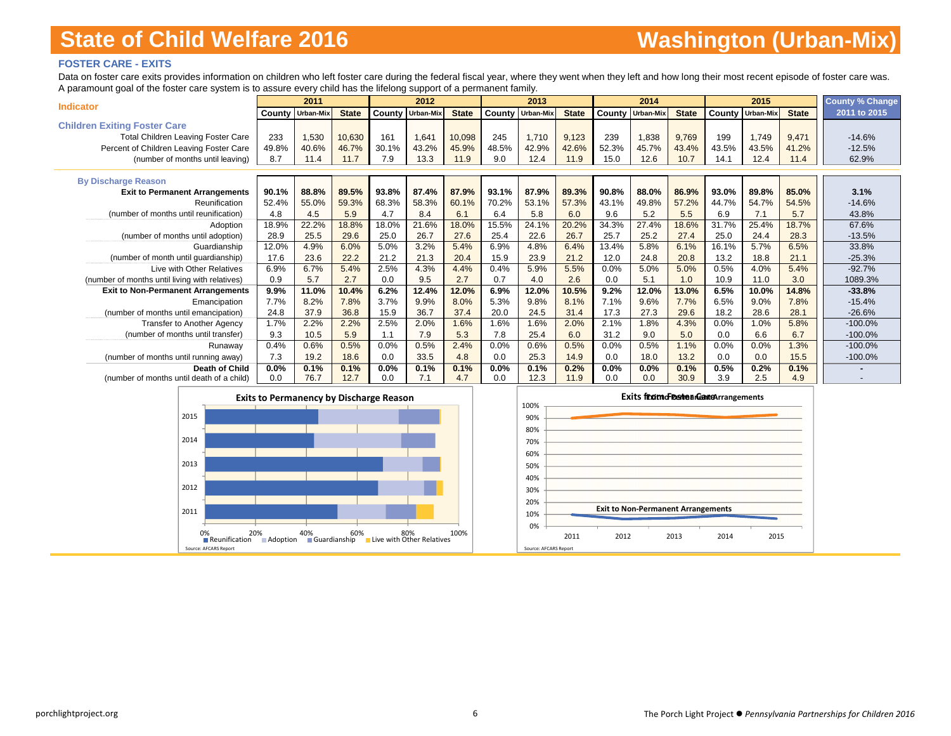### **FOSTER CARE - EXITS**

Data on foster care exits provides information on children who left foster care during the federal fiscal year, where they went when they left and how long their most recent episode of foster care was. A paramount goal of the foster care system is to assure every child has the lifelong support of a permanent family.

|                                                |       | 2011                    |              |        | 2012             |              |       | 2013                    |              |       | 2014                    |              |        | 2015      |              | <b>County % Change</b> |
|------------------------------------------------|-------|-------------------------|--------------|--------|------------------|--------------|-------|-------------------------|--------------|-------|-------------------------|--------------|--------|-----------|--------------|------------------------|
| <b>Indicator</b>                               |       | <b>County Urban-Mix</b> | <b>State</b> | County | <b>Urban-Mix</b> | <b>State</b> |       | <b>County Urban-Mix</b> | <b>State</b> |       | <b>County Urban-Mix</b> | <b>State</b> | County | Urban-Mix | <b>State</b> | 2011 to 2015           |
| <b>Children Exiting Foster Care</b>            |       |                         |              |        |                  |              |       |                         |              |       |                         |              |        |           |              |                        |
| <b>Total Children Leaving Foster Care</b>      | 233   | 1,530                   | 10,630       | 161    | 1,641            | 10,098       | 245   | 1,710                   | 9,123        | 239   | 1,838                   | 9,769        | 199    | 1,749     | 9,471        | $-14.6%$               |
| Percent of Children Leaving Foster Care        | 49.8% | 40.6%                   | 46.7%        | 30.1%  | 43.2%            | 45.9%        | 48.5% | 42.9%                   | 42.6%        | 52.3% | 45.7%                   | 43.4%        | 43.5%  | 43.5%     | 41.2%        | $-12.5%$               |
| (number of months until leaving)               | 8.7   | 11.4                    | 11.7         | 7.9    | 13.3             | 11.9         | 9.0   | 12.4                    | 11.9         | 15.0  | 12.6                    | 10.7         | 14.1   | 12.4      | 11.4         | 62.9%                  |
|                                                |       |                         |              |        |                  |              |       |                         |              |       |                         |              |        |           |              |                        |
| <b>By Discharge Reason</b>                     |       |                         |              |        |                  |              |       |                         |              |       |                         |              |        |           |              |                        |
| <b>Exit to Permanent Arrangements</b>          | 90.1% | 88.8%                   | 89.5%        | 93.8%  | 87.4%            | 87.9%        | 93.1% | 87.9%                   | 89.3%        | 90.8% | 88.0%                   | 86.9%        | 93.0%  | 89.8%     | 85.0%        | 3.1%                   |
| Reunification                                  | 52.4% | 55.0%                   | 59.3%        | 68.3%  | 58.3%            | 60.1%        | 70.2% | 53.1%                   | 57.3%        | 43.1% | 49.8%                   | 57.2%        | 44.7%  | 54.7%     | 54.5%        | $-14.6%$               |
| (number of months until reunification)         | 4.8   | 4.5                     | 5.9          | 4.7    | 8.4              | 6.1          | 6.4   | 5.8                     | 6.0          | 9.6   | 5.2                     | 5.5          | 6.9    | 7.1       | 5.7          | 43.8%                  |
| Adoption                                       | 18.9% | 22.2%                   | 18.8%        | 18.0%  | 21.6%            | 18.0%        | 15.5% | 24.1%                   | 20.2%        | 34.3% | 27.4%                   | 18.6%        | 31.7%  | 25.4%     | 18.7%        | 67.6%                  |
| (number of months until adoption)              | 28.9  | 25.5                    | 29.6         | 25.0   | 26.7             | 27.6         | 25.4  | 22.6                    | 26.7         | 25.7  | 25.2                    | 27.4         | 25.0   | 24.4      | 28.3         | $-13.5%$               |
| Guardianship                                   | 12.0% | 4.9%                    | 6.0%         | 5.0%   | 3.2%             | 5.4%         | 6.9%  | 4.8%                    | 6.4%         | 13.4% | 5.8%                    | 6.1%         | 16.1%  | 5.7%      | 6.5%         | 33.8%                  |
| (number of month until guardianship)           | 17.6  | 23.6                    | 22.2         | 21.2   | 21.3             | 20.4         | 15.9  | 23.9                    | 21.2         | 12.0  | 24.8                    | 20.8         | 13.2   | 18.8      | 21.1         | $-25.3%$               |
| Live with Other Relatives                      | 6.9%  | 6.7%                    | 5.4%         | 2.5%   | 4.3%             | 4.4%         | 0.4%  | 5.9%                    | 5.5%         | 0.0%  | 5.0%                    | 5.0%         | 0.5%   | 4.0%      | 5.4%         | $-92.7%$               |
| (number of months until living with relatives) | 0.9   | 5.7                     | 2.7          | 0.0    | 9.5              | 2.7          | 0.7   | 4.0                     | 2.6          | 0.0   | 5.1                     | 1.0          | 10.9   | 11.0      | 3.0          | 1089.3%                |
| <b>Exit to Non-Permanent Arrangements</b>      | 9.9%  | 11.0%                   | 10.4%        | 6.2%   | 12.4%            | 12.0%        | 6.9%  | 12.0%                   | 10.5%        | 9.2%  | 12.0%                   | 13.0%        | 6.5%   | 10.0%     | 14.8%        | $-33.8%$               |
| Emancipation                                   | 7.7%  | 8.2%                    | 7.8%         | 3.7%   | 9.9%             | 8.0%         | 5.3%  | 9.8%                    | 8.1%         | 7.1%  | 9.6%                    | 7.7%         | 6.5%   | 9.0%      | 7.8%         | $-15.4%$               |
| (number of months until emancipation)          | 24.8  | 37.9                    | 36.8         | 15.9   | 36.7             | 37.4         | 20.0  | 24.5                    | 31.4         | 17.3  | 27.3                    | 29.6         | 18.2   | 28.6      | 28.1         | $-26.6%$               |
| <b>Transfer to Another Agency</b>              | 1.7%  | 2.2%                    | 2.2%         | 2.5%   | 2.0%             | 1.6%         | 1.6%  | 1.6%                    | 2.0%         | 2.1%  | 1.8%                    | 4.3%         | 0.0%   | 1.0%      | 5.8%         | $-100.0%$              |
| (number of months until transfer)              | 9.3   | 10.5                    | 5.9          | 1.1    | 7.9              | 5.3          | 7.8   | 25.4                    | 6.0          | 31.2  | 9.0                     | 5.0          | 0.0    | 6.6       | 6.7          | $-100.0%$              |
| Runaway                                        | 0.4%  | 0.6%                    | 0.5%         | 0.0%   | 0.5%             | 2.4%         | 0.0%  | 0.6%                    | 0.5%         | 0.0%  | 0.5%                    | 1.1%         | 0.0%   | 0.0%      | 1.3%         | $-100.0%$              |
| (number of months until running away)          | 7.3   | 19.2                    | 18.6         | 0.0    | 33.5             | 4.8          | 0.0   | 25.3                    | 14.9         | 0.0   | 18.0                    | 13.2         | 0.0    | 0.0       | 15.5         | $-100.0%$              |
| Death of Child                                 | 0.0%  | 0.1%                    | 0.1%         | 0.0%   | 0.1%             | 0.1%         | 0.0%  | 0.1%                    | 0.2%         | 0.0%  | 0.0%                    | 0.1%         | 0.5%   | 0.2%      | 0.1%         |                        |
| (number of months until death of a child)      | 0.0   | 76.7                    | 12.7         | 0.0    | 7.1              | 4.7          | 0.0   | 12.3                    | 11.9         | 0.0   | 0.0                     | 30.9         | 3.9    | 2.5       | 4.9          |                        |

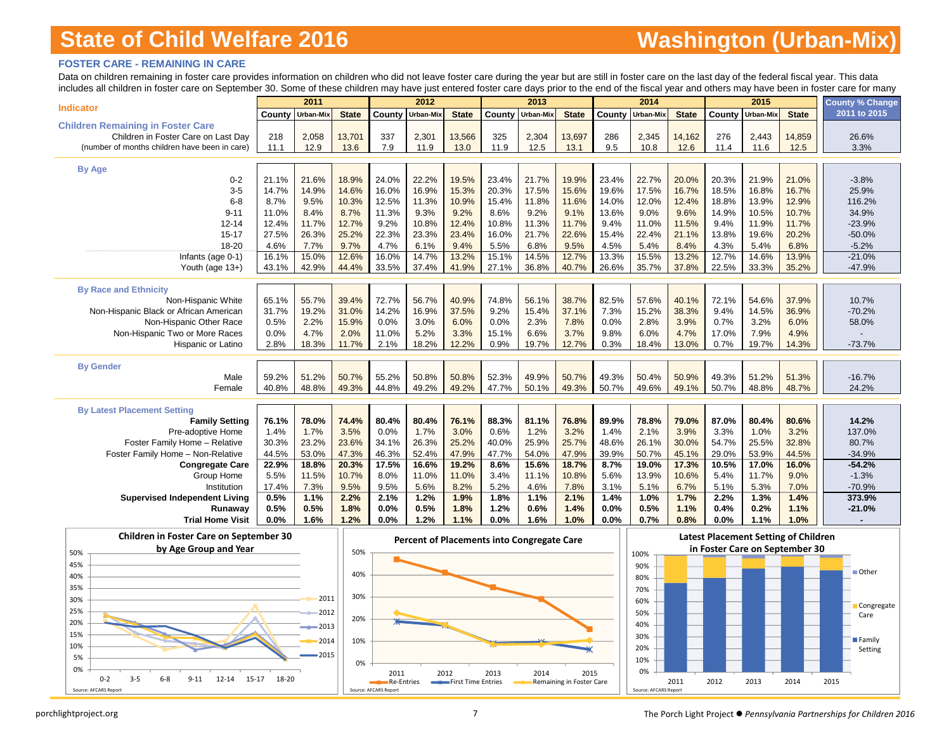# **Washington (Urban-Mix)**

#### **FOSTER CARE - REMAINING IN CARE**

Data on children remaining in foster care provides information on children who did not leave foster care during the year but are still in foster care on the last day of the federal fiscal year. This data includes all children in foster care on September 30. Some of these children may have just entered foster care days prior to the end of the fiscal year and others may have been in foster care for many

| <b>Indicator</b>                              |               | 2011           |               |               | 2012             |               |                | 2013          |               |               | 2014          |               |                | 2015          |                | <b>County % Change</b> |
|-----------------------------------------------|---------------|----------------|---------------|---------------|------------------|---------------|----------------|---------------|---------------|---------------|---------------|---------------|----------------|---------------|----------------|------------------------|
|                                               | County        | Urban-Mix      | <b>State</b>  |               | County Urban-Mix | <b>State</b>  | County         | Urban-Mix     | <b>State</b>  | County        | Urban-Mix     | <b>State</b>  | County         | Urban-Mix     | <b>State</b>   | 2011 to 2015           |
| <b>Children Remaining in Foster Care</b>      |               |                |               |               |                  |               |                |               |               |               |               |               |                |               |                |                        |
| Children in Foster Care on Last Day           | 218           | 2,058          | 13,701        | 337           | 2,301            | 13,566        | 325            | 2,304         | 13,697        | 286           | 2,345         | 14,162        | 276            | 2,443         | 14,859         | 26.6%                  |
| (number of months children have been in care) | 11.1          | 12.9           | 13.6          | 7.9           | 11.9             | 13.0          | 11.9           | 12.5          | 13.1          | 9.5           | 10.8          | 12.6          | 11.4           | 11.6          | 12.5           | 3.3%                   |
|                                               |               |                |               |               |                  |               |                |               |               |               |               |               |                |               |                |                        |
| <b>By Age</b>                                 |               |                |               |               |                  |               |                |               |               |               |               |               |                |               |                |                        |
| $0 - 2$                                       | 21.1%         | 21.6%<br>14.9% | 18.9%         | 24.0%         | 22.2%            | 19.5%         | 23.4%<br>20.3% | 21.7%         | 19.9%         | 23.4%         | 22.7%         | 20.0%         | 20.3%          | 21.9%         | 21.0%          | $-3.8%$                |
| $3-5$                                         | 14.7%         |                | 14.6%         | 16.0%         | 16.9%            | 15.3%         |                | 17.5%         | 15.6%         | 19.6%         | 17.5%         | 16.7%         | 18.5%          | 16.8%         | 16.7%          | 25.9%                  |
| $6 - 8$<br>$9 - 11$                           | 8.7%<br>11.0% | 9.5%<br>8.4%   | 10.3%         | 12.5%         | 11.3%            | 10.9%         | 15.4%          | 11.8%<br>9.2% | 11.6%         | 14.0%         | 12.0%<br>9.0% | 12.4%         | 18.8%<br>14.9% | 13.9%         | 12.9%          | 116.2%<br>34.9%        |
|                                               |               | 11.7%          | 8.7%<br>12.7% | 11.3%<br>9.2% | 9.3%<br>10.8%    | 9.2%<br>12.4% | 8.6%           |               | 9.1%<br>11.7% | 13.6%         |               | 9.6%          | 9.4%           | 10.5%         | 10.7%<br>11.7% | $-23.9%$               |
| $12 - 14$                                     | 12.4%         |                |               |               |                  |               | 10.8%          | 11.3%         | 22.6%         | 9.4%          | 11.0%         | 11.5%         |                | 11.9%         |                |                        |
| $15 - 17$<br>18-20                            | 27.5%         | 26.3%<br>7.7%  | 25.2%<br>9.7% | 22.3%         | 23.3%<br>6.1%    | 23.4%<br>9.4% | 16.0%<br>5.5%  | 21.7%         | 9.5%          | 15.4%<br>4.5% | 22.4%         | 21.1%         | 13.8%          | 19.6%<br>5.4% | 20.2%          | $-50.0%$<br>$-5.2%$    |
|                                               | 4.6%<br>16.1% | 15.0%          | 12.6%         | 4.7%<br>16.0% | 14.7%            | 13.2%         | 15.1%          | 6.8%<br>14.5% | 12.7%         | 13.3%         | 5.4%<br>15.5% | 8.4%<br>13.2% | 4.3%<br>12.7%  | 14.6%         | 6.8%<br>13.9%  | $-21.0%$               |
| Infants (age 0-1)                             |               | 42.9%          |               |               |                  |               |                |               | 40.7%         |               |               |               |                |               |                |                        |
| Youth (age 13+)                               | 43.1%         |                | 44.4%         | 33.5%         | 37.4%            | 41.9%         | 27.1%          | 36.8%         |               | 26.6%         | 35.7%         | 37.8%         | 22.5%          | 33.3%         | 35.2%          | $-47.9%$               |
| <b>By Race and Ethnicity</b>                  |               |                |               |               |                  |               |                |               |               |               |               |               |                |               |                |                        |
| Non-Hispanic White                            | 65.1%         | 55.7%          | 39.4%         | 72.7%         | 56.7%            | 40.9%         | 74.8%          | 56.1%         | 38.7%         | 82.5%         | 57.6%         | 40.1%         | 72.1%          | 54.6%         | 37.9%          | 10.7%                  |
| Non-Hispanic Black or African American        | 31.7%         | 19.2%          | 31.0%         | 14.2%         | 16.9%            | 37.5%         | 9.2%           | 15.4%         | 37.1%         | 7.3%          | 15.2%         | 38.3%         | 9.4%           | 14.5%         | 36.9%          | $-70.2%$               |
| Non-Hispanic Other Race                       | 0.5%          | 2.2%           | 15.9%         | 0.0%          | 3.0%             | 6.0%          | 0.0%           | 2.3%          | 7.8%          | 0.0%          | 2.8%          | 3.9%          | 0.7%           | 3.2%          | 6.0%           | 58.0%                  |
| Non-Hispanic Two or More Races                | 0.0%          | 4.7%           | 2.0%          | 11.0%         | 5.2%             | 3.3%          | 15.1%          | 6.6%          | 3.7%          | 9.8%          | 6.0%          | 4.7%          | 17.0%          | 7.9%          | 4.9%           |                        |
| <b>Hispanic or Latino</b>                     | 2.8%          | 18.3%          | 11.7%         | 2.1%          | 18.2%            | 12.2%         | 0.9%           | 19.7%         | 12.7%         | 0.3%          | 18.4%         | 13.0%         | 0.7%           | 19.7%         | 14.3%          | $-73.7%$               |
|                                               |               |                |               |               |                  |               |                |               |               |               |               |               |                |               |                |                        |
| <b>By Gender</b>                              |               |                |               |               |                  |               |                |               |               |               |               |               |                |               |                |                        |
| Male                                          | 59.2%         | 51.2%          | 50.7%         | 55.2%         | 50.8%            | 50.8%         | 52.3%          | 49.9%         | 50.7%         | 49.3%         | 50.4%         | 50.9%         | 49.3%          | 51.2%         | 51.3%          | $-16.7%$               |
| Female                                        | 40.8%         | 48.8%          | 49.3%         | 44.8%         | 49.2%            | 49.2%         | 47.7%          | 50.1%         | 49.3%         | 50.7%         | 49.6%         | 49.1%         | 50.7%          | 48.8%         | 48.7%          | 24.2%                  |
|                                               |               |                |               |               |                  |               |                |               |               |               |               |               |                |               |                |                        |
| <b>By Latest Placement Setting</b>            |               |                |               |               |                  |               |                |               |               |               |               |               |                |               |                |                        |
| <b>Family Setting</b>                         | 76.1%         | 78.0%          | 74.4%         | 80.4%         | 80.4%            | 76.1%         | 88.3%          | 81.1%         | 76.8%         | 89.9%         | 78.8%         | 79.0%         | 87.0%          | 80.4%         | 80.6%          | 14.2%                  |
| Pre-adoptive Home                             | 1.4%          | 1.7%           | 3.5%          | 0.0%          | 1.7%             | 3.0%          | 0.6%           | 1.2%          | 3.2%          | 1.4%          | 2.1%          | 3.9%          | 3.3%           | 1.0%          | 3.2%           | 137.0%                 |
| Foster Family Home - Relative                 | 30.3%         | 23.2%          | 23.6%         | 34.1%         | 26.3%            | 25.2%         | 40.0%          | 25.9%         | 25.7%         | 48.6%         | 26.1%         | 30.0%         | 54.7%          | 25.5%         | 32.8%          | 80.7%                  |
| Foster Family Home - Non-Relative             | 44.5%         | 53.0%          | 47.3%         | 46.3%         | 52.4%            | 47.9%         | 47.7%          | 54.0%         | 47.9%         | 39.9%         | 50.7%         | 45.1%         | 29.0%          | 53.9%         | 44.5%          | $-34.9%$               |
| <b>Congregate Care</b>                        | 22.9%         | 18.8%          | 20.3%         | 17.5%         | 16.6%            | 19.2%         | 8.6%           | 15.6%         | 18.7%         | 8.7%          | 19.0%         | 17.3%         | 10.5%          | 17.0%         | 16.0%          | $-54.2%$               |
| Group Home                                    | 5.5%          | 11.5%          | 10.7%         | 8.0%          | 11.0%            | 11.0%         | 3.4%           | 11.1%         | 10.8%         | 5.6%          | 13.9%         | 10.6%         | 5.4%           | 11.7%         | 9.0%           | $-1.3%$                |
| Institution                                   | 17.4%         | 7.3%           | 9.5%          | 9.5%          | 5.6%             | 8.2%          | 5.2%           | 4.6%          | 7.8%          | 3.1%          | 5.1%          | 6.7%          | 5.1%           | 5.3%          | 7.0%           | $-70.9%$               |
| <b>Supervised Independent Living</b>          | 0.5%          | 1.1%           | 2.2%          | 2.1%          | 1.2%             | 1.9%          | 1.8%           | 1.1%          | 2.1%          | 1.4%          | 1.0%          | 1.7%          | 2.2%           | 1.3%          | 1.4%           | 373.9%                 |
| Runawav                                       | 0.5%          | 0.5%           | 1.8%          | 0.0%          | 0.5%             | 1.8%          | 1.2%           | 0.6%          | 1.4%          | 0.0%          | 0.5%          | 1.1%          | 0.4%           | 0.2%          | 1.1%           | $-21.0%$               |
| <b>Trial Home Visit</b>                       | 0.0%          | 1.6%           | 1.2%          | 0.0%          | 1.2%             | 1.1%          | 0.0%           | 1.6%          | 1.0%          | 0.0%          | 0.7%          | 0.8%          | 0.0%           | 1.1%          | 1.0%           |                        |
|                                               |               |                |               |               |                  |               |                |               |               |               |               |               |                |               |                |                        |